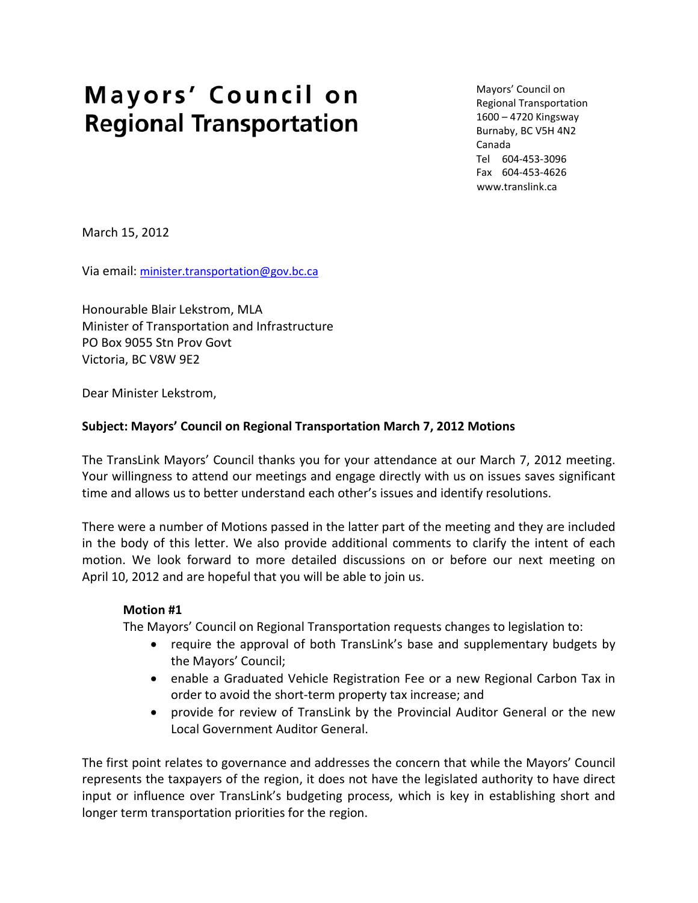# Mayors' Council on **Regional Transportation**

Mayors' Council on Regional Transportation 1600 – 4720 Kingsway Burnaby, BC V5H 4N2 Canada Tel 604-453-3096 Fax 604-453-4626 www.translink.ca

March 15, 2012

Via email: [minister.transportation@gov.bc.ca](mailto:minister.transportation@gov.bc.ca)

Honourable Blair Lekstrom, MLA Minister of Transportation and Infrastructure PO Box 9055 Stn Prov Govt Victoria, BC V8W 9E2

Dear Minister Lekstrom,

#### **Subject: Mayors' Council on Regional Transportation March 7, 2012 Motions**

The TransLink Mayors' Council thanks you for your attendance at our March 7, 2012 meeting. Your willingness to attend our meetings and engage directly with us on issues saves significant time and allows us to better understand each other's issues and identify resolutions.

There were a number of Motions passed in the latter part of the meeting and they are included in the body of this letter. We also provide additional comments to clarify the intent of each motion. We look forward to more detailed discussions on or before our next meeting on April 10, 2012 and are hopeful that you will be able to join us.

#### **Motion #1**

The Mayors' Council on Regional Transportation requests changes to legislation to:

- require the approval of both TransLink's base and supplementary budgets by the Mayors' Council;
- enable a Graduated Vehicle Registration Fee or a new Regional Carbon Tax in order to avoid the short-term property tax increase; and
- provide for review of TransLink by the Provincial Auditor General or the new Local Government Auditor General.

The first point relates to governance and addresses the concern that while the Mayors' Council represents the taxpayers of the region, it does not have the legislated authority to have direct input or influence over TransLink's budgeting process, which is key in establishing short and longer term transportation priorities for the region.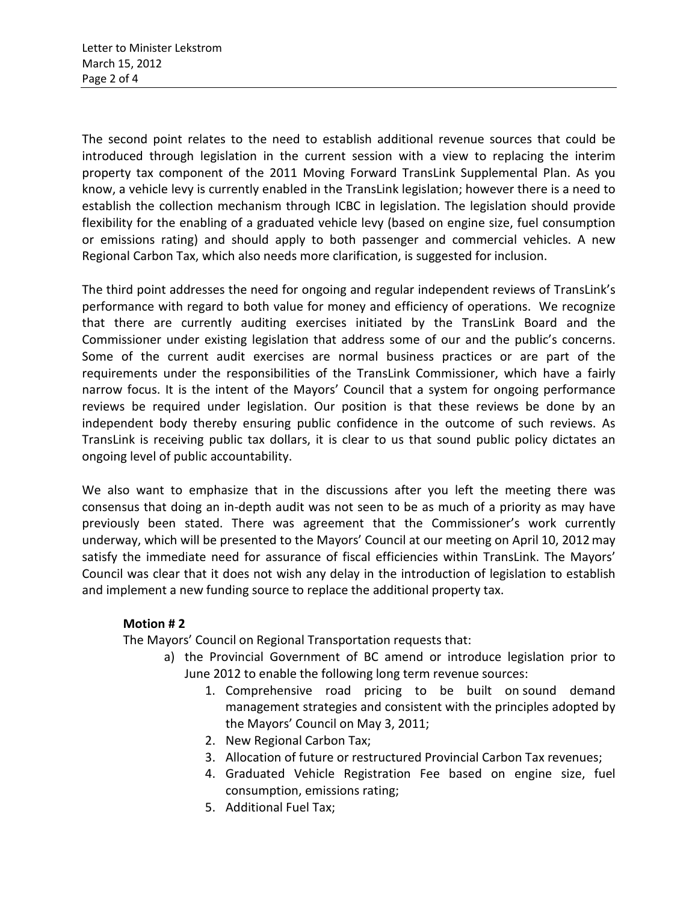The second point relates to the need to establish additional revenue sources that could be introduced through legislation in the current session with a view to replacing the interim property tax component of the 2011 Moving Forward TransLink Supplemental Plan. As you know, a vehicle levy is currently enabled in the TransLink legislation; however there is a need to establish the collection mechanism through ICBC in legislation. The legislation should provide flexibility for the enabling of a graduated vehicle levy (based on engine size, fuel consumption or emissions rating) and should apply to both passenger and commercial vehicles. A new Regional Carbon Tax, which also needs more clarification, is suggested for inclusion.

The third point addresses the need for ongoing and regular independent reviews of TransLink's performance with regard to both value for money and efficiency of operations. We recognize that there are currently auditing exercises initiated by the TransLink Board and the Commissioner under existing legislation that address some of our and the public's concerns. Some of the current audit exercises are normal business practices or are part of the requirements under the responsibilities of the TransLink Commissioner, which have a fairly narrow focus. It is the intent of the Mayors' Council that a system for ongoing performance reviews be required under legislation. Our position is that these reviews be done by an independent body thereby ensuring public confidence in the outcome of such reviews. As TransLink is receiving public tax dollars, it is clear to us that sound public policy dictates an ongoing level of public accountability.

We also want to emphasize that in the discussions after you left the meeting there was consensus that doing an in-depth audit was not seen to be as much of a priority as may have previously been stated. There was agreement that the Commissioner's work currently underway, which will be presented to the Mayors' Council at our meeting on April 10, 2012may satisfy the immediate need for assurance of fiscal efficiencies within TransLink. The Mayors' Council was clear that it does not wish any delay in the introduction of legislation to establish and implement a new funding source to replace the additional property tax.

### **Motion # 2**

The Mayors' Council on Regional Transportation requests that:

- a) the Provincial Government of BC amend or introduce legislation prior to June 2012 to enable the following long term revenue sources:
	- 1. Comprehensive road pricing to be built on sound demand management strategies and consistent with the principles adopted by the Mayors' Council on May 3, 2011;
	- 2. New Regional Carbon Tax;
	- 3. Allocation of future or restructured Provincial Carbon Tax revenues;
	- 4. Graduated Vehicle Registration Fee based on engine size, fuel consumption, emissions rating;
	- 5. Additional Fuel Tax;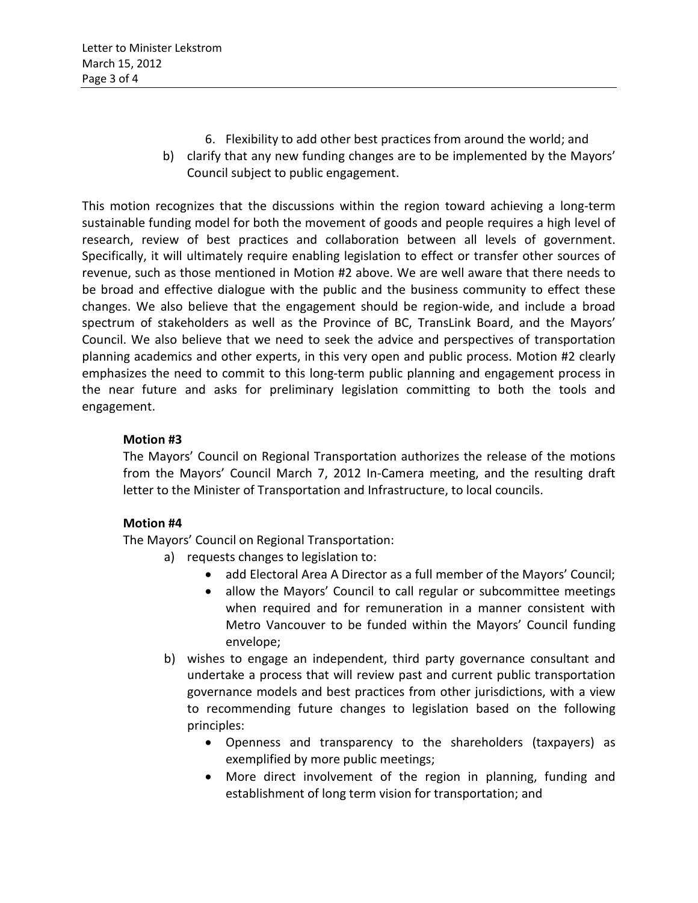- 6. Flexibility to add other best practices from around the world; and
- b) clarify that any new funding changes are to be implemented by the Mayors' Council subject to public engagement.

This motion recognizes that the discussions within the region toward achieving a long-term sustainable funding model for both the movement of goods and people requires a high level of research, review of best practices and collaboration between all levels of government. Specifically, it will ultimately require enabling legislation to effect or transfer other sources of revenue, such as those mentioned in Motion #2 above. We are well aware that there needs to be broad and effective dialogue with the public and the business community to effect these changes. We also believe that the engagement should be region-wide, and include a broad spectrum of stakeholders as well as the Province of BC, TransLink Board, and the Mayors' Council. We also believe that we need to seek the advice and perspectives of transportation planning academics and other experts, in this very open and public process. Motion #2 clearly emphasizes the need to commit to this long-term public planning and engagement process in the near future and asks for preliminary legislation committing to both the tools and engagement.

## **Motion #3**

The Mayors' Council on Regional Transportation authorizes the release of the motions from the Mayors' Council March 7, 2012 In-Camera meeting, and the resulting draft letter to the Minister of Transportation and Infrastructure, to local councils.

### **Motion #4**

The Mayors' Council on Regional Transportation:

- a) requests changes to legislation to:
	- add Electoral Area A Director as a full member of the Mayors' Council;
	- allow the Mayors' Council to call regular or subcommittee meetings when required and for remuneration in a manner consistent with Metro Vancouver to be funded within the Mayors' Council funding envelope;
- b) wishes to engage an independent, third party governance consultant and undertake a process that will review past and current public transportation governance models and best practices from other jurisdictions, with a view to recommending future changes to legislation based on the following principles:
	- Openness and transparency to the shareholders (taxpayers) as exemplified by more public meetings;
	- More direct involvement of the region in planning, funding and establishment of long term vision for transportation; and